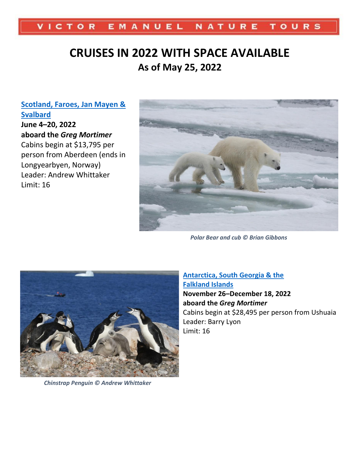#### VICTOR EMANUEL NATURE **TOURS**

# **CRUISES IN 2022 WITH SPACE AVAILABLE As of May 25, 2022**

**[Scotland, Faroes, Jan Mayen &](http://www.ventbird.com/tour-details/89A6A627-321A-EB11-80E0-00155D02734F/Scotland-Faroes-Jan-Mayen--Svalbard?referrer=cruises&p=1&gs=)  [Svalbard](http://www.ventbird.com/tour-details/89A6A627-321A-EB11-80E0-00155D02734F/Scotland-Faroes-Jan-Mayen--Svalbard?referrer=cruises&p=1&gs=) June 4–20, 2022 aboard the** *Greg Mortimer* Cabins begin at \$13,795 per person from Aberdeen (ends in Longyearbyen, Norway) Leader: Andrew Whittaker Limit: 16



*Polar Bear and cub © Brian Gibbons*



*Chinstrap Penguin © Andrew Whittaker*

**[Antarctica, South Georgia & the](http://www.ventbird.com/tour-details/F81D82B6-D7E0-EB11-80DE-00155DFE7B9F/Antarctica-South-Georgia--the-Falkland-Islands?referrer=cruises&p=1&gs=)  [Falkland Islands](http://www.ventbird.com/tour-details/F81D82B6-D7E0-EB11-80DE-00155DFE7B9F/Antarctica-South-Georgia--the-Falkland-Islands?referrer=cruises&p=1&gs=) November 26–December 18, 2022 aboard the** *Greg Mortimer* Cabins begin at \$28,495 per person from Ushuaia Leader: Barry Lyon Limit: 16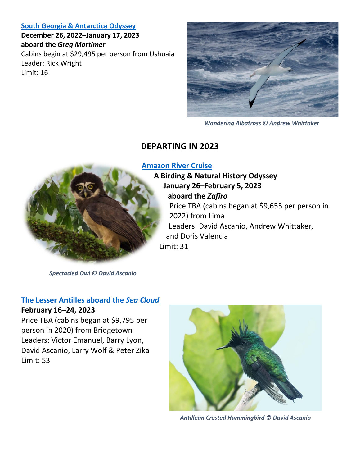#### **[South Georgia & Antarctica Odyssey](http://www.ventbird.com/tour-details/2A9B8334-5D3B-EC11-80F2-00155DFE7BD1/South-Georgia--Antarctica-Odyssey?referrer=cruises&p=1&gs=)**

**December 26, 2022–January 17, 2023 aboard the** *Greg Mortimer* Cabins begin at \$29,495 per person from Ushuaia Leader: Rick Wright Limit: 16



*Wandering Albatross © Andrew Whittaker*

## **DEPARTING IN 2023**

#### **[Amazon River Cruise](http://www.ventbird.com/tour-details/141603F3-707C-EB11-80DC-00155DFE7B9F/Amazon-River-Cruise?referrer=cruises&p=1&gs=)**



**A Birding & Natural History Odyssey January 26–February 5, 2023 aboard the** *Zafiro* Price TBA (cabins began at \$9,655 per person in 2022) from Lima Leaders: David Ascanio, Andrew Whittaker,

and Doris Valencia Limit: 31

*Spectacled Owl © David Ascanio*

#### **[The Lesser Antilles aboard the](http://www.ventbird.com/tour-details/6EC2BBF0-3CCD-EB11-80DD-00155DFE7B9F/The-Lesser-Antilles-Aboard-the-Sea-Cloud?referrer=cruises&p=1&gs=)** *Sea Cloud*

#### **February 16–24, 2023**

Price TBA (cabins began at \$9,795 per person in 2020) from Bridgetown Leaders: Victor Emanuel, Barry Lyon, David Ascanio, Larry Wolf & Peter Zika Limit: 53



*Antillean Crested Hummingbird © David Ascanio*